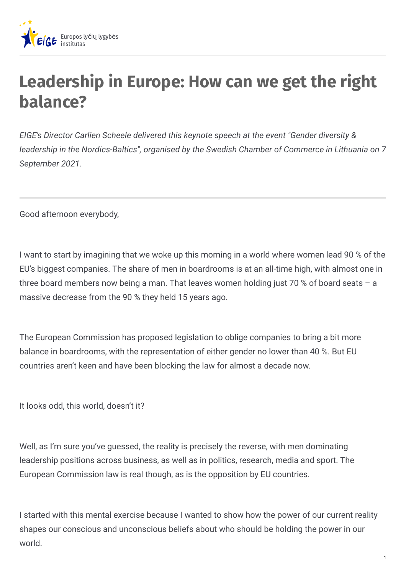

## **Leadership in Europe: How can we get the right balance?**

*EIGE's Director Carlien Scheele delivered this keynote speech at the event "Gender diversity & leadership in the Nordics-Baltics", organised by the Swedish Chamber of Commerce in Lithuania on 7 September 2021.*

Good afternoon everybody,

I want to start by imagining that we woke up this morning in a world where women lead 90 % of the EU's biggest companies. The share of men in boardrooms is at an all-time high, with almost one in three board members now being a man. That leaves women holding just 70 % of board seats – a massive decrease from the 90 % they held 15 years ago.

The European Commission has proposed legislation to oblige companies to bring a bit more balance in boardrooms, with the representation of either gender no lower than 40 %. But EU countries aren't keen and have been blocking the law for almost a decade now.

It looks odd, this world, doesn't it?

Well, as I'm sure you've guessed, the reality is precisely the reverse, with men dominating leadership positions across business, as well as in politics, research, media and sport. The European Commission law is real though, as is the opposition by EU countries.

I started with this mental exercise because I wanted to show how the power of our current reality shapes our conscious and unconscious beliefs about who should be holding the power in our world.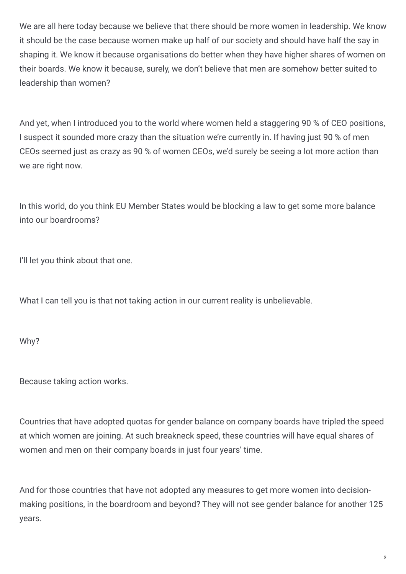We are all here today because we believe that there should be more women in leadership. We know it should be the case because women make up half of our society and should have half the say in shaping it. We know it because organisations do better when they have higher shares of women on their boards. We know it because, surely, we don't believe that men are somehow better suited to leadership than women?

And yet, when I introduced you to the world where women held a staggering 90 % of CEO positions, I suspect it sounded more crazy than the situation we're currently in. If having just 90 % of men CEOs seemed just as crazy as 90 % of women CEOs, we'd surely be seeing a lot more action than we are right now.

In this world, do you think EU Member States would be blocking a law to get some more balance into our boardrooms?

I'll let you think about that one.

What I can tell you is that not taking action in our current reality is unbelievable.

Why?

Because taking action works.

Countries that have adopted quotas for gender balance on company boards have tripled the speed at which women are joining. At such breakneck speed, these countries will have equal shares of women and men on their company boards in just four years' time.

And for those countries that have not adopted any measures to get more women into decisionmaking positions, in the boardroom and beyond? They will not see gender balance for another 125 years.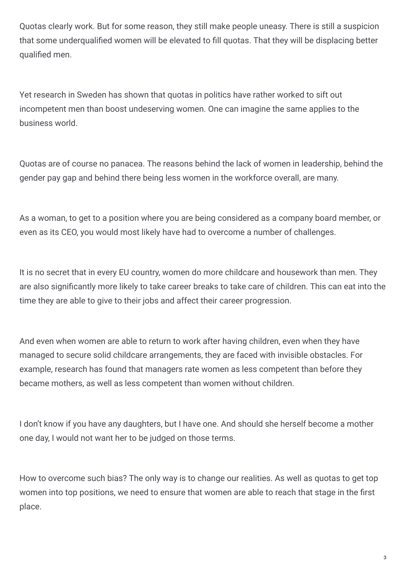Quotas clearly work. But for some reason, they still make people uneasy. There is still a suspicion that some underqualified women will be elevated to fill quotas. That they will be displacing better qualified men.

Yet research in Sweden has shown that quotas in politics have rather worked to sift out incompetent men than boost undeserving women. One can imagine the same applies to the business world.

Quotas are of course no panacea. The reasons behind the lack of women in leadership, behind the gender pay gap and behind there being less women in the workforce overall, are many.

As a woman, to get to a position where you are being considered as a company board member, or even as its CEO, you would most likely have had to overcome a number of challenges.

It is no secret that in every EU country, women do more childcare and housework than men. They are also significantly more likely to take career breaks to take care of children. This can eat into the time they are able to give to their jobs and affect their career progression.

And even when women are able to return to work after having children, even when they have managed to secure solid childcare arrangements, they are faced with invisible obstacles. For example, research has found that managers rate women as less competent than before they became mothers, as well as less competent than women without children.

I don't know if you have any daughters, but I have one. And should she herself become a mother one day, I would not want her to be judged on those terms.

How to overcome such bias? The only way is to change our realities. As well as quotas to get top women into top positions, we need to ensure that women are able to reach that stage in the first place.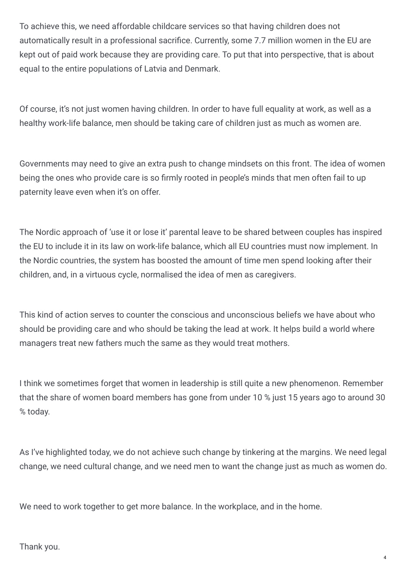To achieve this, we need affordable childcare services so that having children does not automatically result in a professional sacrifice. Currently, some 7.7 million women in the EU are kept out of paid work because they are providing care. To put that into perspective, that is about equal to the entire populations of Latvia and Denmark.

Of course, it's not just women having children. In order to have full equality at work, as well as a healthy work-life balance, men should be taking care of children just as much as women are.

Governments may need to give an extra push to change mindsets on this front. The idea of women being the ones who provide care is so firmly rooted in people's minds that men often fail to up paternity leave even when it's on offer.

The Nordic approach of 'use it or lose it' parental leave to be shared between couples has inspired the EU to include it in its law on work-life balance, which all EU countries must now implement. In the Nordic countries, the system has boosted the amount of time men spend looking after their children, and, in a virtuous cycle, normalised the idea of men as caregivers.

This kind of action serves to counter the conscious and unconscious beliefs we have about who should be providing care and who should be taking the lead at work. It helps build a world where managers treat new fathers much the same as they would treat mothers.

I think we sometimes forget that women in leadership is still quite a new phenomenon. Remember that the share of women board members has gone from under 10 % just 15 years ago to around 30 % today.

As I've highlighted today, we do not achieve such change by tinkering at the margins. We need legal change, we need cultural change, and we need men to want the change just as much as women do.

We need to work together to get more balance. In the workplace, and in the home.